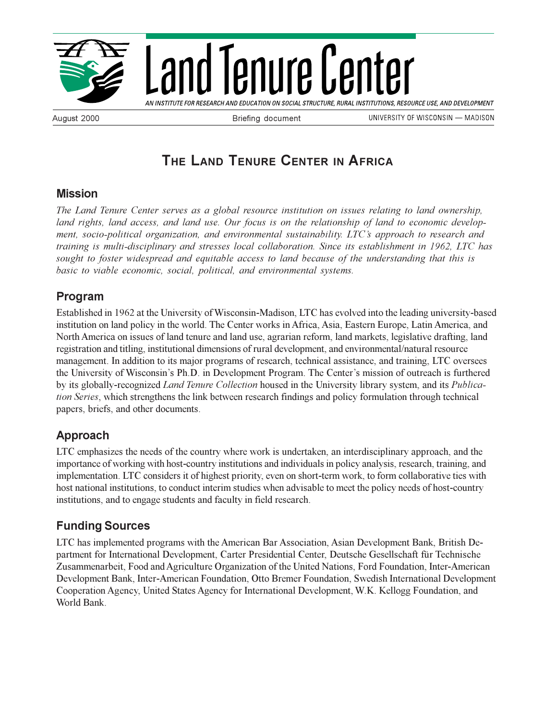

Land Tenure Center

AN INSTITUTE FOR RESEARCH AND EDUCATION ON SOCIAL STRUCTURE, RURAL INSTITUTIONS, RESOURCE USE, AND DEVELOPMENT

August 2000 **Briefing document** 

UNIVERSITY OF WISCONSIN - MADISON

# **THE LAND TENURE CENTER IN AFRICA**

#### **Mission**

*The Land Tenure Center serves as a global resource institution on issues relating to land ownership, land rights, land access, and land use. Our focus is on the relationship of land to economic development, socio-political organization, and environmental sustainability. LTC's approach to research and training is multi-disciplinary and stresses local collaboration. Since its establishment in 1962, LTC has sought to foster widespread and equitable access to land because of the understanding that this is basic to viable economic, social, political, and environmental systems.*

### **Program**

Established in 1962 at the University of Wisconsin-Madison, LTC has evolved into the leading university-based institution on land policy in the world. The Center works in Africa, Asia, Eastern Europe, Latin America, and North America on issues of land tenure and land use, agrarian reform, land markets, legislative drafting, land registration and titling, institutional dimensions of rural development, and environmental/natural resource management. In addition to its major programs of research, technical assistance, and training, LTC oversees the University of Wisconsin's Ph.D. in Development Program. The Center's mission of outreach is furthered by its globally-recognized *Land Tenure Collection* housed in the University library system, and its *Publication Series*, which strengthens the link between research findings and policy formulation through technical papers, briefs, and other documents.

## **Approach**

LTC emphasizes the needs of the country where work is undertaken, an interdisciplinary approach, and the importance of working with host-country institutions and individuals in policy analysis, research, training, and implementation. LTC considers it of highest priority, even on short-term work, to form collaborative ties with host national institutions, to conduct interim studies when advisable to meet the policy needs of host-country institutions, and to engage students and faculty in field research.

#### **Funding Sources**

LTC has implemented programs with the American Bar Association, Asian Development Bank, British Department for International Development, Carter Presidential Center, Deutsche Gesellschaft für Technische Zusammenarbeit, Food and Agriculture Organization of the United Nations, Ford Foundation, Inter-American Development Bank, Inter-American Foundation, Otto Bremer Foundation, Swedish International Development Cooperation Agency, United States Agency for International Development, W.K. Kellogg Foundation, and World Bank.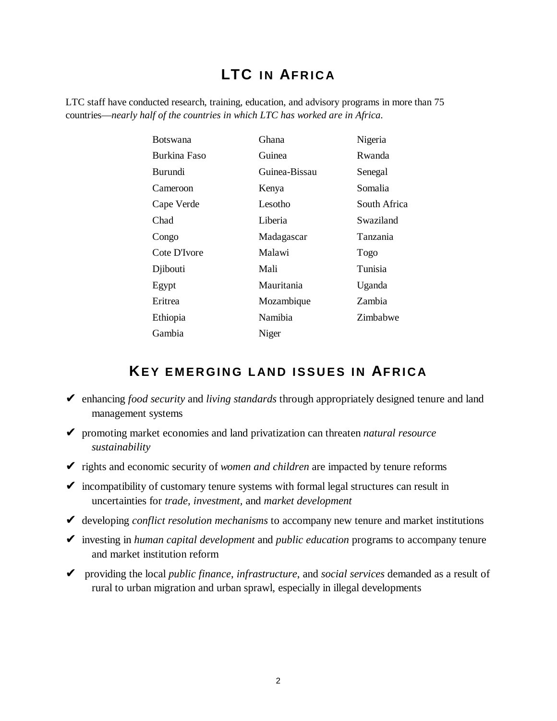# **LTC IN AFRICA**

LTC staff have conducted research, training, education, and advisory programs in more than 75 countries—*nearly half of the countries in which LTC has worked are in Africa*.

| <b>Botswana</b> | Ghana         | Nigeria      |
|-----------------|---------------|--------------|
| Burkina Faso    | Guinea        | Rwanda       |
| <b>Burundi</b>  | Guinea-Bissau | Senegal      |
| Cameroon        | Kenya         | Somalia      |
| Cape Verde      | Lesotho       | South Africa |
| Chad            | Liberia       | Swaziland    |
| Congo           | Madagascar    | Tanzania     |
| Cote D'Ivore    | Malawi        | Togo         |
| Djibouti        | Mali          | Tunisia      |
| Egypt           | Mauritania    | Uganda       |
| Eritrea         | Mozambique    | Zambia       |
| Ethiopia        | Namibia       | Zimbabwe     |
| Gambia          | Niger         |              |

# **KEY EMERGING LAND ISSUES IN AFRICA**

- ✔ enhancing *food security* and *living standards* through appropriately designed tenure and land management systems
- ✔ promoting market economies and land privatization can threaten *natural resource sustainability*
- ✔ rights and economic security of *women and children* are impacted by tenure reforms
- $\triangleright$  incompatibility of customary tenure systems with formal legal structures can result in uncertainties for *trade, investment,* and *market development*
- ✔ developing *conflict resolution mechanisms* to accompany new tenure and market institutions
- ✔ investing in *human capital development* and *public education* programs to accompany tenure and market institution reform
- ✔ providing the local *public finance*, *infrastructure*, and *social services* demanded as a result of rural to urban migration and urban sprawl, especially in illegal developments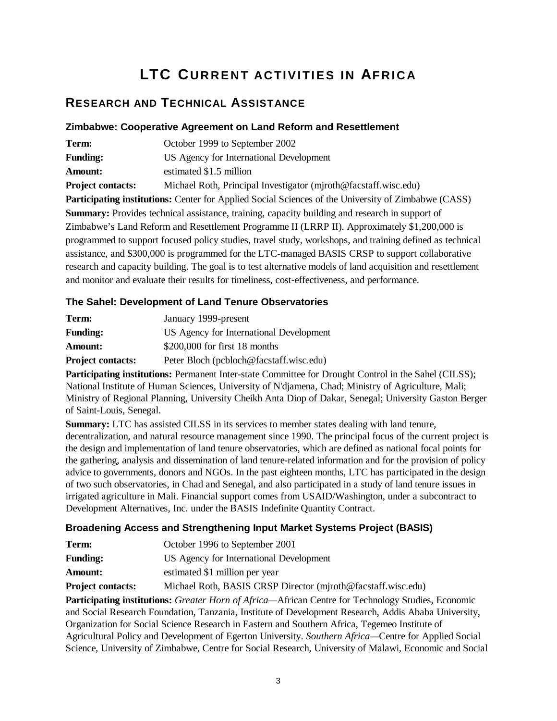# **LTC CURRENT ACTIVITIES IN AFRICA**

### **RESEARCH AND TECHNICAL ASSISTANCE**

#### **Zimbabwe: Cooperative Agreement on Land Reform and Resettlement**

| Term:                                                                                                       | October 1999 to September 2002                                  |
|-------------------------------------------------------------------------------------------------------------|-----------------------------------------------------------------|
| <b>Funding:</b>                                                                                             | US Agency for International Development                         |
| Amount:                                                                                                     | estimated \$1.5 million                                         |
| <b>Project contacts:</b>                                                                                    | Michael Roth, Principal Investigator (mjroth@facstaff.wisc.edu) |
| <b>Participating institutions:</b> Center for Applied Social Sciences of the University of Zimbabwe (CASS)  |                                                                 |
| <b>Summary:</b> Provides technical assistance, training, capacity building and research in support of       |                                                                 |
| Zimbabwe's Land Reform and Resettlement Programme II (LRRP II). Approximately \$1,200,000 is                |                                                                 |
| programmed to support focused policy studies, travel study, workshops, and training defined as technical    |                                                                 |
| assistance, and \$300,000 is programmed for the LTC-managed BASIS CRSP to support collaborative             |                                                                 |
| research and capacity building. The goal is to test alternative models of land acquisition and resettlement |                                                                 |
| and monitor and evaluate their results for timeliness, cost-effectiveness, and performance.                 |                                                                 |
|                                                                                                             |                                                                 |

#### **The Sahel: Development of Land Tenure Observatories**

| Term:                    | January 1999-present                    |
|--------------------------|-----------------------------------------|
| <b>Funding:</b>          | US Agency for International Development |
| <b>Amount:</b>           | $$200,000$ for first 18 months          |
| <b>Project contacts:</b> | Peter Bloch (pcbloch@facstaff.wisc.edu) |

**Participating institutions:** Permanent Inter-state Committee for Drought Control in the Sahel (CILSS); National Institute of Human Sciences, University of N'djamena, Chad; Ministry of Agriculture, Mali; Ministry of Regional Planning, University Cheikh Anta Diop of Dakar, Senegal; University Gaston Berger of Saint-Louis, Senegal.

**Summary:** LTC has assisted CILSS in its services to member states dealing with land tenure, decentralization, and natural resource management since 1990. The principal focus of the current project is the design and implementation of land tenure observatories, which are defined as national focal points for the gathering, analysis and dissemination of land tenure-related information and for the provision of policy advice to governments, donors and NGOs. In the past eighteen months, LTC has participated in the design of two such observatories, in Chad and Senegal, and also participated in a study of land tenure issues in irrigated agriculture in Mali. Financial support comes from USAID/Washington, under a subcontract to Development Alternatives, Inc. under the BASIS Indefinite Quantity Contract.

#### **Broadening Access and Strengthening Input Market Systems Project (BASIS)**

| Term:                    | October 1996 to September 2001                               |
|--------------------------|--------------------------------------------------------------|
| <b>Funding:</b>          | US Agency for International Development                      |
| <b>Amount:</b>           | estimated \$1 million per year                               |
| <b>Project contacts:</b> | Michael Roth, BASIS CRSP Director (miroth@facstaff.wisc.edu) |

**Participating institutions:** *Greater Horn of Africa—*African Centre for Technology Studies, Economic and Social Research Foundation, Tanzania, Institute of Development Research, Addis Ababa University, Organization for Social Science Research in Eastern and Southern Africa, Tegemeo Institute of Agricultural Policy and Development of Egerton University. *Southern Africa—*Centre for Applied Social Science, University of Zimbabwe, Centre for Social Research, University of Malawi, Economic and Social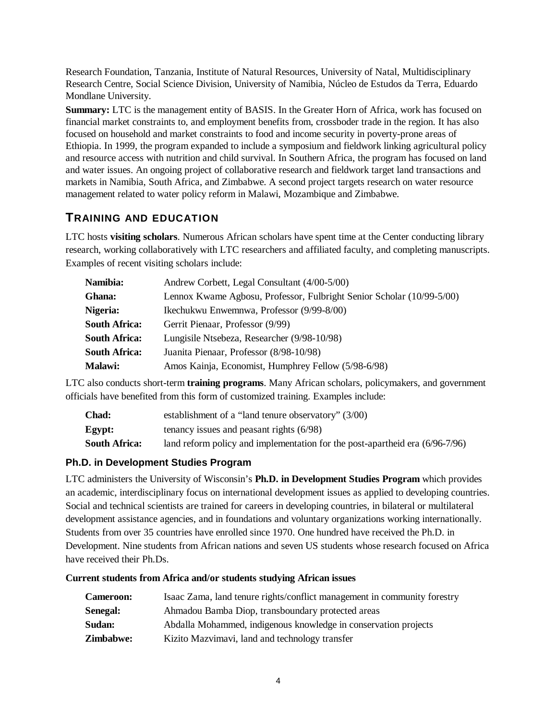Research Foundation, Tanzania, Institute of Natural Resources, University of Natal, Multidisciplinary Research Centre, Social Science Division, University of Namibia, Núcleo de Estudos da Terra, Eduardo Mondlane University.

**Summary:** LTC is the management entity of BASIS. In the Greater Horn of Africa, work has focused on financial market constraints to, and employment benefits from, crossboder trade in the region. It has also focused on household and market constraints to food and income security in poverty-prone areas of Ethiopia. In 1999, the program expanded to include a symposium and fieldwork linking agricultural policy and resource access with nutrition and child survival. In Southern Africa, the program has focused on land and water issues. An ongoing project of collaborative research and fieldwork target land transactions and markets in Namibia, South Africa, and Zimbabwe. A second project targets research on water resource management related to water policy reform in Malawi, Mozambique and Zimbabwe.

#### **TRAINING AND EDUCATION**

LTC hosts **visiting scholars**. Numerous African scholars have spent time at the Center conducting library research, working collaboratively with LTC researchers and affiliated faculty, and completing manuscripts. Examples of recent visiting scholars include:

| Namibia:             | Andrew Corbett, Legal Consultant (4/00-5/00)                          |
|----------------------|-----------------------------------------------------------------------|
| Ghana:               | Lennox Kwame Agbosu, Professor, Fulbright Senior Scholar (10/99-5/00) |
| Nigeria:             | Ikechukwu Enwemnwa, Professor (9/99-8/00)                             |
| <b>South Africa:</b> | Gerrit Pienaar, Professor (9/99)                                      |
| South Africa:        | Lungisile Ntsebeza, Researcher (9/98-10/98)                           |
| <b>South Africa:</b> | Juanita Pienaar, Professor (8/98-10/98)                               |
| <b>Malawi:</b>       | Amos Kainja, Economist, Humphrey Fellow (5/98-6/98)                   |
|                      |                                                                       |

LTC also conducts short-term **training programs**. Many African scholars, policymakers, and government officials have benefited from this form of customized training. Examples include:

| <b>Chad:</b>  | establishment of a "land tenure observatory" (3/00)                          |
|---------------|------------------------------------------------------------------------------|
| Egypt:        | tenancy issues and peasant rights $(6/98)$                                   |
| South Africa: | land reform policy and implementation for the post-apartheid era (6/96-7/96) |

#### **Ph.D. in Development Studies Program**

LTC administers the University of Wisconsin's **Ph.D. in Development Studies Program** which provides an academic, interdisciplinary focus on international development issues as applied to developing countries. Social and technical scientists are trained for careers in developing countries, in bilateral or multilateral development assistance agencies, and in foundations and voluntary organizations working internationally. Students from over 35 countries have enrolled since 1970. One hundred have received the Ph.D. in Development. Nine students from African nations and seven US students whose research focused on Africa have received their Ph.Ds.

#### **Current students from Africa and/or students studying African issues**

| <b>Cameroon:</b> | Isaac Zama, land tenure rights/conflict management in community forestry |
|------------------|--------------------------------------------------------------------------|
| Senegal:         | Ahmadou Bamba Diop, transboundary protected areas                        |
| Sudan:           | Abdalla Mohammed, indigenous knowledge in conservation projects          |
| <b>Zimbabwe:</b> | Kizito Mazvimavi, land and technology transfer                           |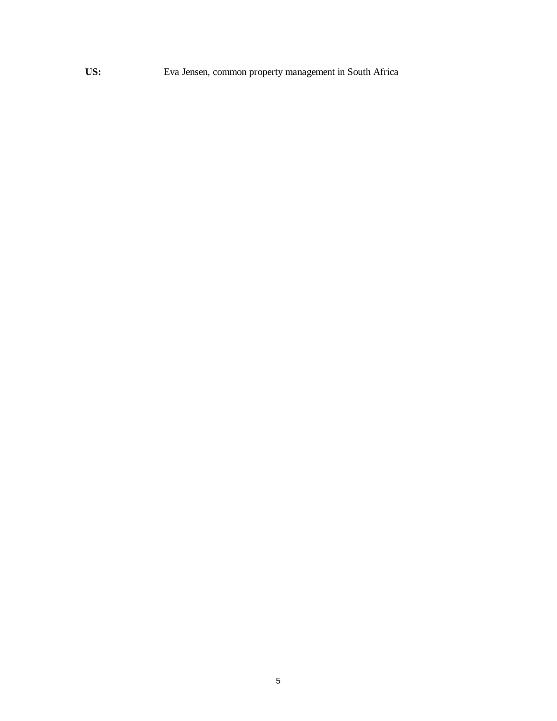**US:** Eva Jensen, common property management in South Africa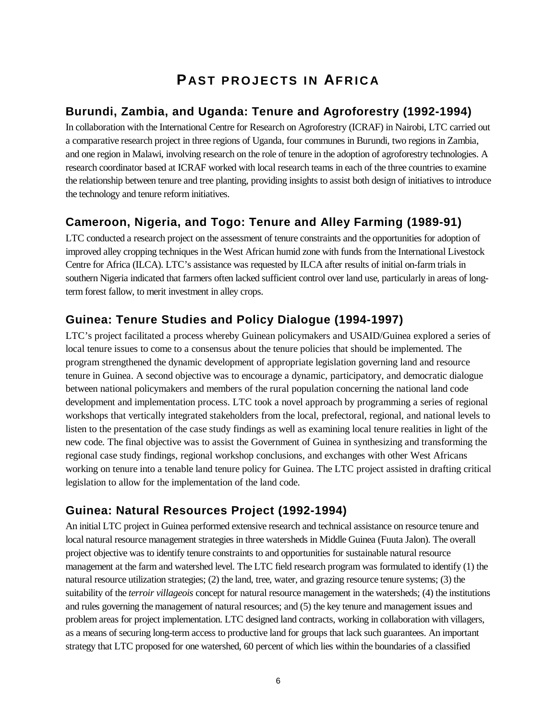# **P AST PROJECTS IN AFRICA**

#### **Burundi, Zambia, and Uganda: Tenure and Agroforestry (1992-1994)**

In collaboration with the International Centre for Research on Agroforestry (ICRAF) in Nairobi, LTC carried out a comparative research project in three regions of Uganda, four communes in Burundi, two regions in Zambia, and one region in Malawi, involving research on the role of tenure in the adoption of agroforestry technologies. A research coordinator based at ICRAF worked with local research teams in each of the three countries to examine the relationship between tenure and tree planting, providing insights to assist both design of initiatives to introduce the technology and tenure reform initiatives.

# **Cameroon, Nigeria, and Togo: Tenure and Alley Farming (1989-91)**

LTC conducted a research project on the assessment of tenure constraints and the opportunities for adoption of improved alley cropping techniques in the West African humid zone with funds from the International Livestock Centre for Africa (ILCA). LTC's assistance was requested by ILCA after results of initial on-farm trials in southern Nigeria indicated that farmers often lacked sufficient control over land use, particularly in areas of longterm forest fallow, to merit investment in alley crops.

## **Guinea: Tenure Studies and Policy Dialogue (1994-1997)**

LTC's project facilitated a process whereby Guinean policymakers and USAID/Guinea explored a series of local tenure issues to come to a consensus about the tenure policies that should be implemented. The program strengthened the dynamic development of appropriate legislation governing land and resource tenure in Guinea. A second objective was to encourage a dynamic, participatory, and democratic dialogue between national policymakers and members of the rural population concerning the national land code development and implementation process. LTC took a novel approach by programming a series of regional workshops that vertically integrated stakeholders from the local, prefectoral, regional, and national levels to listen to the presentation of the case study findings as well as examining local tenure realities in light of the new code. The final objective was to assist the Government of Guinea in synthesizing and transforming the regional case study findings, regional workshop conclusions, and exchanges with other West Africans working on tenure into a tenable land tenure policy for Guinea. The LTC project assisted in drafting critical legislation to allow for the implementation of the land code.

## **Guinea: Natural Resources Project (1992-1994)**

An initial LTC project in Guinea performed extensive research and technical assistance on resource tenure and local natural resource management strategies in three watersheds in Middle Guinea (Fuuta Jalon). The overall project objective was to identify tenure constraints to and opportunities for sustainable natural resource management at the farm and watershed level. The LTC field research program was formulated to identify (1) the natural resource utilization strategies; (2) the land, tree, water, and grazing resource tenure systems; (3) the suitability of the *terroir villageois* concept for natural resource management in the watersheds; (4) the institutions and rules governing the management of natural resources; and (5) the key tenure and management issues and problem areas for project implementation. LTC designed land contracts, working in collaboration with villagers, as a means of securing long-term access to productive land for groups that lack such guarantees. An important strategy that LTC proposed for one watershed, 60 percent of which lies within the boundaries of a classified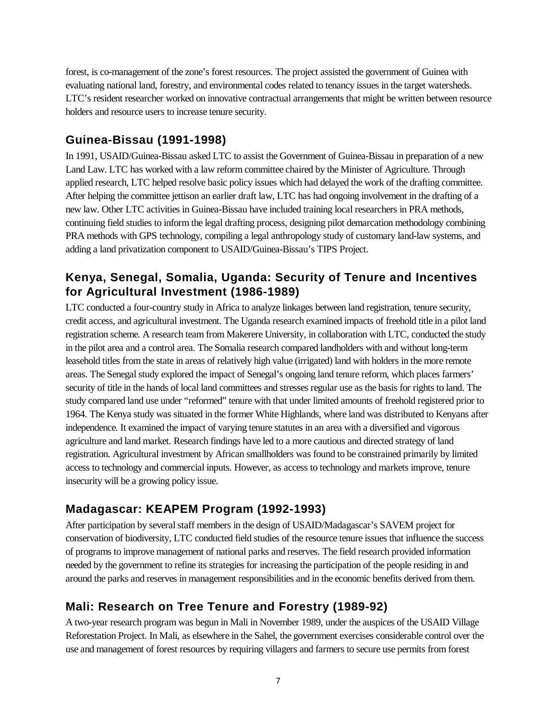forest, is co-management of the zone's forest resources. The project assisted the government of Guinea with evaluating national land, forestry, and environmental codes related to tenancy issues in the target watersheds. LTC's resident researcher worked on innovative contractual arrangements that might be written between resource holders and resource users to increase tenure security.

### **Guinea-Bissau (1991-1998)**

In 1991, USAID/Guinea-Bissau asked LTC to assist the Government of Guinea-Bissau in preparation of a new Land Law. LTC has worked with a law reform committee chaired by the Minister of Agriculture. Through applied research, LTC helped resolve basic policy issues which had delayed the work of the drafting committee. After helping the committee jettison an earlier draft law, LTC has had ongoing involvement in the drafting of a new law. Other LTC activities in Guinea-Bissau have included training local researchers in PRA methods, continuing field studies to inform the legal drafting process, designing pilot demarcation methodology combining PRA methods with GPS technology, compiling a legal anthropology study of customary land-law systems, and adding a land privatization component to USAID/Guinea-Bissau's TIPS Project.

### **Kenya, Senegal, Somalia, Uganda: Security of Tenure and Incentives for Agricultural Investment (1986-1989)**

LTC conducted a four-country study in Africa to analyze linkages between land registration, tenure security, credit access, and agricultural investment. The Uganda research examined impacts of freehold title in a pilot land registration scheme. A research team from Makerere University, in collaboration with LTC, conducted the study in the pilot area and a control area. The Somalia research compared landholders with and without long-term leasehold titles from the state in areas of relatively high value (irrigated) land with holders in the more remote areas. The Senegal study explored the impact of Senegal's ongoing land tenure reform, which places farmers' security of title in the hands of local land committees and stresses regular use as the basis for rights to land. The study compared land use under "reformed" tenure with that under limited amounts of freehold registered prior to 1964. The Kenya study was situated in the former White Highlands, where land was distributed to Kenyans after independence. It examined the impact of varying tenure statutes in an area with a diversified and vigorous agriculture and land market. Research findings have led to a more cautious and directed strategy of land registration. Agricultural investment by African smallholders was found to be constrained primarily by limited access to technology and commercial inputs. However, as access to technology and markets improve, tenure insecurity will be a growing policy issue.

#### **Madagascar: KEAPEM Program (1992-1993)**

After participation by several staff members in the design of USAID/Madagascar's SAVEM project for conservation of biodiversity, LTC conducted field studies of the resource tenure issues that influence the success of programs to improve management of national parks and reserves. The field research provided information needed by the government to refine its strategies for increasing the participation of the people residing in and around the parks and reserves in management responsibilities and in the economic benefits derived from them.

## **Mali: Research on Tree Tenure and Forestry (1989-92)**

A two-year research program was begun in Mali in November 1989, under the auspices of the USAID Village Reforestation Project. In Mali, as elsewhere in the Sahel, the government exercises considerable control over the use and management of forest resources by requiring villagers and farmers to secure use permits from forest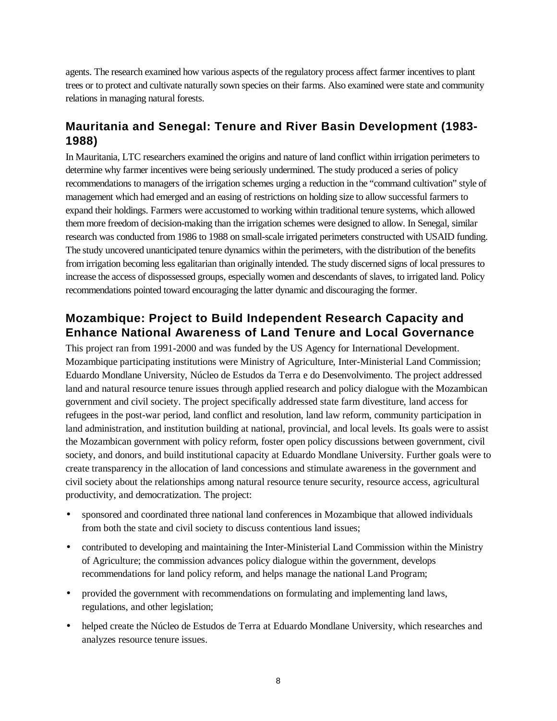agents. The research examined how various aspects of the regulatory process affect farmer incentives to plant trees or to protect and cultivate naturally sown species on their farms. Also examined were state and community relations in managing natural forests.

#### **Mauritania and Senegal: Tenure and River Basin Development (1983- 1988)**

In Mauritania, LTC researchers examined the origins and nature of land conflict within irrigation perimeters to determine why farmer incentives were being seriously undermined. The study produced a series of policy recommendations to managers of the irrigation schemes urging a reduction in the "command cultivation" style of management which had emerged and an easing of restrictions on holding size to allow successful farmers to expand their holdings. Farmers were accustomed to working within traditional tenure systems, which allowed them more freedom of decision-making than the irrigation schemes were designed to allow. In Senegal, similar research was conducted from 1986 to 1988 on small-scale irrigated perimeters constructed with USAID funding. The study uncovered unanticipated tenure dynamics within the perimeters, with the distribution of the benefits from irrigation becoming less egalitarian than originally intended. The study discerned signs of local pressures to increase the access of dispossessed groups, especially women and descendants of slaves, to irrigated land. Policy recommendations pointed toward encouraging the latter dynamic and discouraging the former.

#### **Mozambique: Project to Build Independent Research Capacity and Enhance National Awareness of Land Tenure and Local Governance**

This project ran from 1991-2000 and was funded by the US Agency for International Development. Mozambique participating institutions were Ministry of Agriculture, Inter-Ministerial Land Commission; Eduardo Mondlane University, Núcleo de Estudos da Terra e do Desenvolvimento. The project addressed land and natural resource tenure issues through applied research and policy dialogue with the Mozambican government and civil society. The project specifically addressed state farm divestiture, land access for refugees in the post-war period, land conflict and resolution, land law reform, community participation in land administration, and institution building at national, provincial, and local levels. Its goals were to assist the Mozambican government with policy reform, foster open policy discussions between government, civil society, and donors, and build institutional capacity at Eduardo Mondlane University. Further goals were to create transparency in the allocation of land concessions and stimulate awareness in the government and civil society about the relationships among natural resource tenure security, resource access, agricultural productivity, and democratization. The project:

- sponsored and coordinated three national land conferences in Mozambique that allowed individuals from both the state and civil society to discuss contentious land issues;
- contributed to developing and maintaining the Inter-Ministerial Land Commission within the Ministry of Agriculture; the commission advances policy dialogue within the government, develops recommendations for land policy reform, and helps manage the national Land Program;
- provided the government with recommendations on formulating and implementing land laws, regulations, and other legislation;
- helped create the Núcleo de Estudos de Terra at Eduardo Mondlane University, which researches and analyzes resource tenure issues.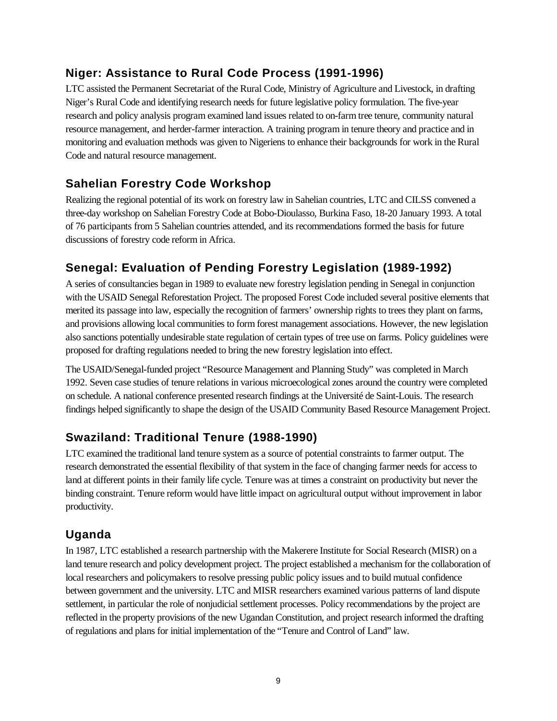## **Niger: Assistance to Rural Code Process (1991-1996)**

LTC assisted the Permanent Secretariat of the Rural Code, Ministry of Agriculture and Livestock, in drafting Niger's Rural Code and identifying research needs for future legislative policy formulation. The five-year research and policy analysis program examined land issues related to on-farm tree tenure, community natural resource management, and herder-farmer interaction. A training program in tenure theory and practice and in monitoring and evaluation methods was given to Nigeriens to enhance their backgrounds for work in the Rural Code and natural resource management.

# **Sahelian Forestry Code Workshop**

Realizing the regional potential of its work on forestry law in Sahelian countries, LTC and CILSS convened a three-day workshop on Sahelian Forestry Code at Bobo-Dioulasso, Burkina Faso, 18-20 January 1993. A total of 76 participants from 5 Sahelian countries attended, and its recommendations formed the basis for future discussions of forestry code reform in Africa.

# **Senegal: Evaluation of Pending Forestry Legislation (1989-1992)**

A series of consultancies began in 1989 to evaluate new forestry legislation pending in Senegal in conjunction with the USAID Senegal Reforestation Project. The proposed Forest Code included several positive elements that merited its passage into law, especially the recognition of farmers' ownership rights to trees they plant on farms, and provisions allowing local communities to form forest management associations. However, the new legislation also sanctions potentially undesirable state regulation of certain types of tree use on farms. Policy guidelines were proposed for drafting regulations needed to bring the new forestry legislation into effect.

The USAID/Senegal-funded project "Resource Management and Planning Study" was completed in March 1992. Seven case studies of tenure relations in various microecological zones around the country were completed on schedule. A national conference presented research findings at the Université de Saint-Louis. The research findings helped significantly to shape the design of the USAID Community Based Resource Management Project.

# **Swaziland: Traditional Tenure (1988-1990)**

LTC examined the traditional land tenure system as a source of potential constraints to farmer output. The research demonstrated the essential flexibility of that system in the face of changing farmer needs for access to land at different points in their family life cycle. Tenure was at times a constraint on productivity but never the binding constraint. Tenure reform would have little impact on agricultural output without improvement in labor productivity.

## **Uganda**

In 1987, LTC established a research partnership with the Makerere Institute for Social Research (MISR) on a land tenure research and policy development project. The project established a mechanism for the collaboration of local researchers and policymakers to resolve pressing public policy issues and to build mutual confidence between government and the university. LTC and MISR researchers examined various patterns of land dispute settlement, in particular the role of nonjudicial settlement processes. Policy recommendations by the project are reflected in the property provisions of the new Ugandan Constitution, and project research informed the drafting of regulations and plans for initial implementation of the "Tenure and Control of Land" law.